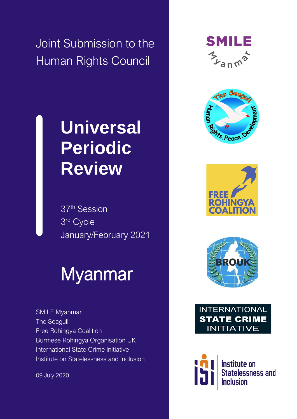Joint Submission to the Human Rights Council

## **Universal Periodic Review**

37th Session 3 rd Cycle January/February 2021

# Myanmar

SMILE Myanmar The Seagull Free Rohingya Coalition Burmese Rohingya Organisation UK International State Crime Initiative Institute on Statelessness and Inclusion

09 July 2020













**Institute on Statelessness and Inclusion**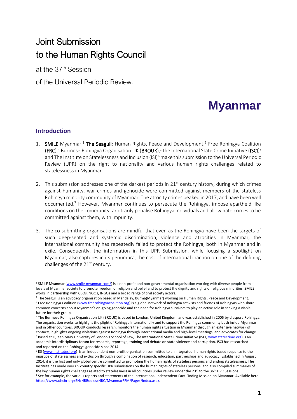### Joint Submission to the Human Rights Council

at the 37<sup>th</sup> Session

of the Universal Periodic Review.

## **Myanmar**

#### **Introduction**

- 1. SMILE Myanmar,<sup>1</sup> The Seagull: Human Rights, Peace and Development,<sup>2</sup> Free Rohingya Coalition  $(\mathsf{FRC})^3$  Burmese Rohingya Organisation UK (BROUK),<sup>4</sup> the International State Crime Initiative (ISCI)<sup>s</sup> and The Institute on Statelessness and Inclusion (ISI)<sup>6</sup> make this submission to the Universal Periodic Review (UPR) on the right to nationality and various human rights challenges related to statelessness in Myanmar.
- 2. This submission addresses one of the darkest periods in  $21<sup>st</sup>$  century history, during which crimes against humanity, war crimes and genocide were committed against members of the stateless Rohingya minority community of Myanmar. The atrocity crimes peaked in 2017, and have been well documented.<sup>7</sup> However, Myanmar continues to persecute the Rohingya, impose apartheid like conditions on the community, arbitrarily penalise Rohingya individuals and allow hate crimes to be committed against them, with impunity.
- 3. The co-submitting organisations are mindful that even as the Rohingya have been the targets of such deep-seated and systemic discrimination, violence and atrocities in Myanmar, the international community has repeatedly failed to protect the Rohingya, both in Myanmar and in exile. Consequently, the information in this UPR Submission, while focusing a spotlight on Myanmar, also captures in its penumbra, the cost of international inaction on one of the defining challenges of the  $21<sup>st</sup>$  century.

<sup>&</sup>lt;sup>1</sup> SMILE Myanmar [\(www.smile-myanmar.com/\)](http://www.smile-myanmar.com/) is a non-profit and non-governmental organisation working with diverse people from all levels of Myanmar society to promote freedom of religion and belief and to protect the dignity and rights of religious minorities. SMILE works in partnership with CBOs, NGOs, INGOs and a broad range of civil society actors.

<sup>&</sup>lt;sup>2</sup> The Seagull is an advocacy organisation based in Mandalay, Burma(Myanmar) working on Human Rights, Peace and Development. <sup>3</sup> Free Rohingya Coalition [\(www.freerohingyacoalition.org\)](http://www.freerohingyacoalition.org/) is a global network of Rohingya activists and friends of Rohingyas who share common concerns about Myanmar's on-going genocide and the need for Rohingya survivors to play an active role in seeking a viable future for their group.

<sup>4</sup> The Burmese Rohingya Organisation UK (BROUK) is based in London, United Kingdom, and was established in 2005 by diaspora Rohingya. The organisation works to highlight the plight of Rohingya internationally and to support the Rohingya community both inside Myanmar and in other countries. BROUK conducts research, monitors the human rights situation in Myanmar through an extensive network of contacts, highlights ongoing violations against Rohingya through international media and high-level meetings, and advocates for change. <sup>5</sup> Based at Queen Mary University of London's School of Law, The International State Crime Initiative (ISCI[, www.statecrime.org\)](http://www.statecrime.org/) is an academic interdisciplinary forum for research, reportage, training and debate on state violence and corruption. ISCI has researched and reported on the Rohingya genocide since 2014.

<sup>&</sup>lt;sup>6</sup> ISI [\(www.institutesi.org\)](http://www.institutesi.org/) is an independent non-profit organisation committed to an integrated, human rights based response to the injustice of statelessness and exclusion through a combination of research, education, partnerships and advocacy. Established in August 2014, it is the first and only global centre committed to promoting the human rights of stateless persons and ending statelessness. The Institute has made over 65 country specific UPR submissions on the human rights of stateless persons, and also compiled summaries of the key human rights challenges related to statelessness in all countries under review under the 23rd to the 36<sup>th</sup> UPR Sessions. <sup>7</sup> See for example, the various reports and statements of the International Independent Fact-Finding Mission on Myanmar. Available here: [https://www.ohchr.org/EN/HRBodies/HRC/MyanmarFFM/Pages/Index.aspx.](https://www.ohchr.org/EN/HRBodies/HRC/MyanmarFFM/Pages/Index.aspx)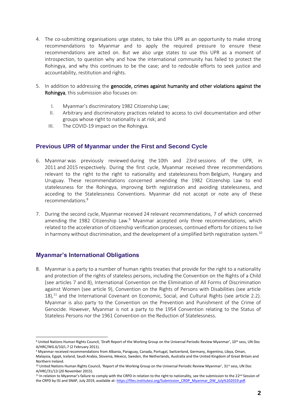- 4. The co-submitting organisations urge states, to take this UPR as an opportunity to make strong recommendations to Myanmar and to apply the required pressure to ensure these recommendations are acted on. But we also urge states to use this UPR as a moment of introspection, to question why and how the international community has failed to protect the Rohingya, and why this continues to be the case; and to redouble efforts to seek justice and accountability, restitution and rights.
- 5. In addition to addressing the genocide, crimes against humanity and other violations against the Rohingya, this submission also focuses on:
	- I. Myanmar's discriminatory 1982 Citizenship Law;
	- II. Arbitrary and discriminatory practices related to access to civil documentation and other groups whose right to nationality is at risk; and
	- III. The COVID-19 impact on the Rohingya.

#### **Previous UPR of Myanmar under the First and Second Cycle**

- 6. Myanmar was previously reviewed during the 10th and 23rd sessions of the UPR, in 2011 and 2015 respectively. During the first cycle, Myanmar received three recommendations relevant to the right to the right to nationality and statelessness from Belgium, Hungary and Uruguay. These recommendations concerned amending the 1982 Citizenship Law to end statelessness for the Rohingya, improving birth registration and avoiding statelessness, and acceding to the Statelessness Conventions. Myanmar did not accept or note any of these recommendations.<sup>8</sup>
- 7. During the second cycle, Myanmar received 24 relevant recommendations, 7 of which concerned amending the 1982 Citizenship Law. $9$  Myanmar accepted only three recommendations, which related to the acceleration of citizenship verification processes, continued efforts for citizens to live in harmony without discrimination, and the development of a simplified birth registration system.<sup>10</sup>

#### **Myanmar's International Obligations**

8. Myanmar is a party to a number of human rights treaties that provide for the right to a nationality and protection of the rights of stateless persons, including the Convention on the Rights of a Child (see articles 7 and 8), International Convention on the Elimination of All Forms of Discrimination against Women (see article 9), Convention on the Rights of Persons with Disabilities (see article  $18$ ,<sup>11</sup> and the International Covenant on Economic, Social, and Cultural Rights (see article 2.2). Myanmar is also party to the Convention on the Prevention and Punishment of the Crime of Genocide. However, Myanmar is not a party to the 1954 Convention relating to the Status of Stateless Persons nor the 1961 Convention on the Reduction of Statelessness.

<sup>&</sup>lt;sup>8</sup> United Nations Human Rights Council, 'Draft Report of the Working Group on the Universal Periodic Review Myanmar', 10<sup>th</sup> sess, UN Doc A/HRC/WG.6/10/L.7 (2 February 2011).

<sup>9</sup> Myanmar received recommendations from Albania, Paraguay, Canada, Portugal, Switzerland, Germany, Argentina, Libya, Oman, Malaysia, Egypt, Iceland, Saudi Arabia, Slovenia, Mexico, Sweden, the Netherlands, Australia and the United Kingdom of Great Britain and Northern Ireland.

<sup>&</sup>lt;sup>10</sup> United Nations Human Rights Council, 'Report of the Working Group on the Universal Periodic Review Myanmar', 31<sup>st</sup> sess, UN Doc A/HRC/31/13 (20 November 2015).

<sup>&</sup>lt;sup>11</sup> In relation to Myanmar's failure to comply with the CRPD in relation to the right to nationality, see the submission to the 22<sup>nd</sup> Session of the CRPD by ISI and SNAP, July 2019, available at: https://files.institutesi.org/Submission\_CRDP\_Myanmar\_DW\_July%202019.pdf.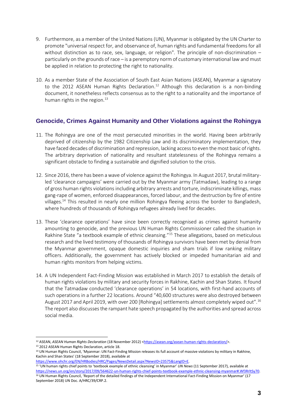- 9. Furthermore, as a member of the United Nations (UN), Myanmar is obligated by the UN Charter to promote "universal respect for, and observance of, human rights and fundamental freedoms for all without distinction as to race, sex, language, or religion". The principle of non-discrimination – particularly on the grounds of race – is a peremptory norm of customary international law and must be applied in relation to protecting the right to nationality.
- 10. As a member State of the Association of South East Asian Nations (ASEAN), Myanmar a signatory to the 2012 ASEAN Human Rights Declaration.<sup>12</sup> Although this declaration is a non-binding document, it nonetheless reflects consensus as to the right to a nationality and the importance of human rights in the region. $13$

#### **Genocide, Crimes Against Humanity and Other Violations against the Rohingya**

- 11. The Rohingya are one of the most persecuted minorities in the world. Having been arbitrarily deprived of citizenship by the 1982 Citizenship Law and its discriminatory implementation, they have faced decades of discrimination and repression, lacking access to even the most basic of rights. The arbitrary deprivation of nationality and resultant statelessness of the Rohingya remains a significant obstacle to finding a sustainable and dignified solution to the crisis.
- 12. Since 2016, there has been a wave of violence against the Rohingya. In August 2017, brutal militaryled 'clearance campaigns' were carried out by the Myanmar army (Tatmadaw), leading to a range of gross human rights violations including arbitrary arrests and torture, indiscriminate killings, mass gang-rape of women, enforced disappearances, forced labour, and the destruction by fire of entire villages.<sup>14</sup> This resulted in nearly one million Rohingya fleeing across the border to Bangladesh, where hundreds of thousands of Rohingya refugees already lived for decades.
- 13. These 'clearance operations' have since been correctly recognised as crimes against humanity amounting to genocide, and the previous UN Human Rights Commissioner called the situation in Rakhine State "a textbook example of ethnic cleansing."<sup>15</sup> These allegations, based on meticulous research and the lived testimony of thousands of Rohingya survivors have been met by denial from the Myanmar government, opaque domestic inquiries and sham trials if low ranking military officers. Additionally, the government has actively blocked or impeded humanitarian aid and human rights monitors from helping victims.
- 14. A UN Independent Fact-Finding Mission was established in March 2017 to establish the details of human rights violations by military and security forces in Rakhine, Kachin and Shan States. It found that the Tatmadaw conducted 'clearance operations' in 54 locations, with first-hand accounts of such operations in a further 22 locations. Around "40,600 structures were also destroyed between August 2017 and April 2019, with over 200 [Rohingya] settlements almost completely wiped out".<sup>16</sup> The report also discusses the rampant hate speech propagated by the authorities and spread across social media.

<sup>&</sup>lt;sup>12</sup> ASEAN, *ASEAN Human Rights Declaration* (18 November 2012) [<https://asean.org/asean-human-rights-declaration/>](https://asean.org/asean-human-rights-declaration/).

<sup>13</sup> 2012 ASEAN Human Rights Declaration, article 18.

<sup>&</sup>lt;sup>14</sup> UN Human Rights Council, 'Myanmar: UN Fact-Finding Mission releases its full account of massive violations by military in Rakhine, Kachin and Shan States' (18 September 2018), available at

[https://www.ohchr.org/EN/HRBodies/HRC/Pages/NewsDetail.aspx?NewsID=23575&LangID=E.](https://www.ohchr.org/EN/HRBodies/HRC/Pages/NewsDetail.aspx?NewsID=23575&LangID=E)

<sup>15</sup> 'UN human rights chief points to 'textbook example of ethnic cleansing' in Myanmar' *UN News* (11 September 2017), available at [https://news.un.org/en/story/2017/09/564622-un-human-rights-chief-points-textbook-example-ethnic-cleansing-myanmar#.WfJRrltSy70.](https://news.un.org/en/story/2017/09/564622-un-human-rights-chief-points-textbook-example-ethnic-cleansing-myanmar#.WfJRrltSy70) <sup>16</sup> UN Human Rights Council, 'Report of the detailed findings of the Independent International Fact-Finding Mission on Myanmar' (17 September 2018) UN Doc. A/HRC/39/CRP.2.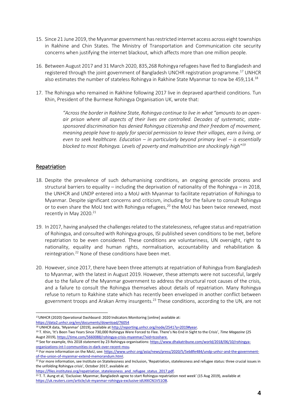- 15. Since 21 June 2019, the Myanmar government has restricted internet access across eight townships in Rakhine and Chin States. The Ministry of Transportation and Communication cite security concerns when justifying the internet blackout, which affects more than one million people.
- 16. Between August 2017 and 31 March 2020, 835,268 Rohingya refugees have fled to Bangladesh and registered through the joint government of Bangladesh UNCHR registration programme.<sup>17</sup> UNHCR also estimates the number of stateless Rohingya in Rakhine State Myanmar to now be 459,114.<sup>18</sup>
- 17. The Rohingya who remained in Rakhine following 2017 live in depraved apartheid conditions. Tun Khin, President of the Burmese Rohingya Organisation UK, wrote that:

*"Across the border in Rakhine State, Rohingya continue to live in what "amounts to an openair prison where all aspects of their lives are controlled. Decades of systematic, statesponsored discrimination has denied Rohingya citizenship and their freedom of movement, meaning people have to apply for special permission to leave their villages, earn a living, or even to seek healthcare. Education – in particularly beyond primary level – is essentially blocked to most Rohingya. Levels of poverty and malnutrition are shockingly high"<sup>19</sup>*

#### **Repatriation**

- 18. Despite the prevalence of such dehumanising conditions, an ongoing genocide process and structural barriers to equality – including the deprivation of nationality of the Rohingya – in 2018, the UNHCR and UNDP entered into a MoU with Myanmar to facilitate repatriation of Rohingya to Myanmar. Despite significant concerns and criticism, including for the failure to consult Rohingya or to even share the MoU text with Rohingya refugees,<sup>20</sup> the MoU has been twice renewed, most recently in May 2020.<sup>21</sup>
- 19. In 2017, having analysed the challenges related to the statelessness, refugee status and repatriation of Rohingya, and consulted with Rohingya groups, ISI published seven conditions to be met, before repatriation to be even considered. These conditions are voluntariness, UN oversight, right to nationality, equality and human rights, normalisation, accountability and rehabilitation & reintegration.<sup>22</sup> None of these conditions have been met.
- 20. However, since 2017, there have been three attempts at repatriation of Rohingya from Bangladesh to Myanmar, with the latest in August 2019. However, these attempts were not successful, largely due to the failure of the Myanmar government to address the structural root causes of the crisis, and a failure to consult the Rohingya themselves about details of repatriation. Many Rohingya refuse to return to Rakhine state which has recently been enveloped in another conflict between government troops and Arakan Army insurgents.<sup>23</sup> These conditions, according to the UN, are not

https://files.institutesi.org/repatriation\_statelessness\_and\_refugee\_status\_2017.pdf.

<sup>17</sup>UNHCR (2020) Operational Dashboard: 2020 Indicators Monitoring [online] available at: <https://data2.unhcr.org/en/documents/download/76054>

<sup>&</sup>lt;sup>18</sup> UNHCR data, 'Myanmar' (2019), available at [http://reporting.unhcr.org/node/2541?y=2019#year.](http://reporting.unhcr.org/node/2541?y=2019#year)

<sup>19</sup> T. Khin, 'It's Been Two Years Since 730,000 Rohingya Were Forced to Flee. There's No End in Sight to the Crisis', *Time Magazine* (25 Augst 2019)[, https://time.com/5660088/rohingya-crisis-myanmar/?xid=tcoshare.](https://time.com/5660088/rohingya-crisis-myanmar/?xid=tcoshare)

<sup>&</sup>lt;sup>20</sup> See for example, this 2018 statement by 23 Rohingya organisations[: https://www.dhakatribune.com/world/2018/06/10/rohingya](https://www.dhakatribune.com/world/2018/06/10/rohingya-organizations-int-l-communities-in-dark-over-recent-mou)[organizations-int-l-communities-in-dark-over-recent-mou.](https://www.dhakatribune.com/world/2018/06/10/rohingya-organizations-int-l-communities-in-dark-over-recent-mou)

<sup>&</sup>lt;sup>21</sup> For more information on the MoU, see[: https://www.unhcr.org/asia/news/press/2020/5/5eb8fe484/undp-unhcr-and-the-government](https://www.unhcr.org/asia/news/press/2020/5/5eb8fe484/undp-unhcr-and-the-government-of-the-union-of-myanmar-extend-memorandum.html)[of-the-union-of-myanmar-extend-memorandum.html.](https://www.unhcr.org/asia/news/press/2020/5/5eb8fe484/undp-unhcr-and-the-government-of-the-union-of-myanmar-extend-memorandum.html) 

<sup>&</sup>lt;sup>22</sup> For more information, see Institute on Statelessness and Inclusion, 'Repatriation, statelessness and refugee status: three crucial issues in the unfolding Rohingya crisis', October 2017, available at:

<sup>&</sup>lt;sup>23</sup> T. T. Aung et al, 'Exclusive: Myanmar, Bangladesh agree to start Rohingya repatriation next week' (15 Aug 2019), available at [https://uk.reuters.com/article/uk-myanmar-rohingya-exclusive-idUKKCN1V51OB.](https://uk.reuters.com/article/uk-myanmar-rohingya-exclusive-idUKKCN1V51OB)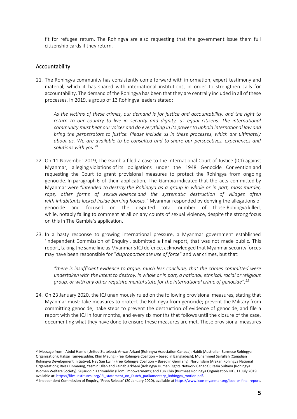fit for refugee return. The Rohingya are also requesting that the government issue them full citizenship cards if they return.

#### Accountability

21. The Rohingya community has consistently come forward with information, expert testimony and material, which it has shared with international institutions, in order to strengthen calls for accountability. The demand of the Rohingya has been that they are centrally included in all of these processes. In 2019, a group of 13 Rohingya leaders stated:

*As the victims of these crimes, our demand is for justice and accountability, and the right to return to our country to live in security and dignity, as equal citizens. The international community must hear our voices and do everything in its power to uphold international law and bring the perpetrators to justice. Please include us in these processes, which are ultimately about us. We are available to be consulted and to share our perspectives, experiences and solutions with you.<sup>24</sup>*

- 22. On 11 November 2019, The Gambia filed a case to the International Court of Justice (ICJ) against Myanmar, alleging violations of its obligations under the 1948 Genocide Convention and requesting the Court to grant provisional measures to protect the Rohingya from ongoing genocide. In paragraph 6 of their application, The Gambia indicated that the acts committed by Myanmar were *"intended to destroy the Rohingya as a group in whole or in part, mass murder, rape, other forms of sexual violence and the systematic destruction of villages often with inhabitants locked inside burning houses."* Myanmar responded by denying the allegations of genocide and focused on the disputed total number of those Rohingya killed, while, notably failing to comment at all on any counts of sexual violence, despite the strong focus on this in The Gambia's application.
- 23. In a hasty response to growing international pressure, a Myanmar government established 'Independent Commission of Enquiry', submitted a final report, that was not made public. This report, taking the same line as Myanmar's ICJ defence, acknowledged that Myanmar security forces may have been responsible for "*disproportionate use of force*" and war crimes, but that:

*"there is insufficient evidence to argue, much less conclude, that the crimes committed were undertaken with the intent to destroy, in whole or in part, a national, ethnical, racial or religious group, or with any other requisite mental state for the international crime of genocide".<sup>25</sup>*

24. On 23 January 2020, the ICJ unanimously ruled on the following provisional measures, stating that Myanmar must: take measures to protect the Rohingya from genocide; prevent the Military from committing genocide; take steps to prevent the destruction of evidence of genocide; and file a report with the ICJ in four months, and every six months that follows until the closure of the case, documenting what they have done to ensure these measures are met. These provisional measures

<sup>24</sup> Message from - Abdul Hamid (United Stateless); Anwar Arkani (Rohingya Association Canada); Habib (Australian Burmese Rohingya Organisation); Hafsar Tameesuddin; Khin Maung (Free Rohingya Coalition – based in Bangladesh); Muhammed Saifullah (Canadian Rohingya Development Initiative); Nay San Lwin (Free Rohingya Coalition – Based in Germany); Nurul Islam (Arakan Rohingya National Organisation); Raiss Tinmaung, Yasmin Ullah and Zainab Arkhani (Rohingya Human Rights Network Canada); Razia Sultana (Rohingya Women Welfare Society); Sujauddin Karimuddin (Elom Empowerment); and Tun Khin (Burmese Rohingya Organisation UK), 11 July 2019, available at[: https://files.institutesi.org/ISI\\_statement\\_on\\_Dutch\\_parliamentary\\_Rohingya\\_motion.pdf.](https://files.institutesi.org/ISI_statement_on_Dutch_parliamentary_Rohingya_motion.pdf)

<sup>&</sup>lt;sup>25</sup> Independent Commission of Enquiry, 'Press Release' (20 January 2020), available at [https://www.icoe-myanmar.org/icoe-pr-final-report.](https://www.icoe-myanmar.org/icoe-pr-final-report)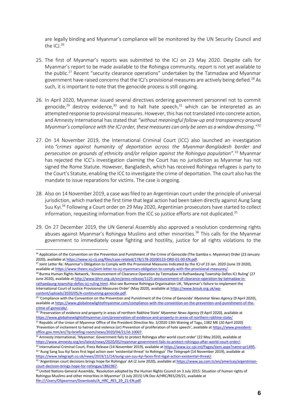are legally binding and Myanmar's compliance will be monitored by the UN Security Council and the ICJ. $^{26}$ 

- 25. The first of Myanmar's reports was submitted to the ICJ on 23 May 2020. Despite calls for Myanmar's report to be made available to the Rohingya community, report is not yet available to the public.<sup>27</sup> Recent "security clearance operations" undertaken by the Tatmadaw and Myanmar government have raised concerns that the ICJ's provisional measures are actively being defied. <sup>28</sup> As such, it is important to note that the genocide process is still ongoing.
- 26. In April 2020, Myanmar issued several directives ordering government personnel not to commit genocide,<sup>29</sup> destroy evidence,<sup>30</sup> and to halt hate speech,<sup>31</sup> which can be interpreted as an attempted response to provisional measures. However, this has not translated into concrete action, and Amnesty International has stated that *"without meaningful follow-up and transparency around Myanmar's compliance with the ICJ order, these measures can only be seen as a window dressing."*<sup>32</sup>
- 27. On 14 November 2019, the International Criminal Court (ICC) also launched an investigation into *"crimes against humanity of deportation across the Myanmar-Bangladesh border and persecution on grounds of ethnicity and/or religion against the Rohingya population".*<sup>33</sup> Myanmar has rejected the ICC's investigation claiming the Court has no jurisdiction as Myanmar has not signed the Rome Statute. However, Bangladesh, which has received Rohingya refugees is party to the Court's Statute, enabling the ICC to investigate the crime of deportation. The court also has the mandate to issue reparations for victims. The case is ongoing.
- 28. Also on 14 November 2019, a case was filed to an Argentinian court under the principle of universal jurisdiction, which marked the first time that legal action had been taken directly against Aung Sang Suu Kyi.<sup>34</sup> Following a Court order on 29 May 2020, Argentinian prosecutors have started to collect information, requesting information from the ICC so justice efforts are not duplicated.<sup>35</sup>
- 29. On 27 December 2019, the UN General Assembly also approved a resolution condemning rights abuses against Myanmar's Rohingya Muslims and other minorities.<sup>36</sup> This calls for the Myanmar government to immediately cease fighting and hostility, justice for all rights violations to the

<sup>&</sup>lt;sup>26</sup> Application of the Convention on the Prevention and Punishment of the Crime of Genocide (The Gambia v. Myanmar) Order (23 January 2020), available a[t https://www.icj-cij.org/files/case-related/178/178-20200123-ORD-01-00-EN.pdf.](https://www.icj-cij.org/files/case-related/178/178-20200123-ORD-01-00-EN.pdf)

<sup>&</sup>lt;sup>27</sup> Joint Letter Re: Myanmar's Obligation to Comply with the Provisional Measures Indicated by the ICJ of 23 Jan. 2020 (June 19 2020), available a[t https://www.theerc.eu/joint-letter-to-icj-myanmars-obligation-to-comply-with-the-provisional-measures/.](https://www.theerc.eu/joint-letter-to-icj-myanmars-obligation-to-comply-with-the-provisional-measures/) 

<sup>&</sup>lt;sup>28</sup> Burma Human Rights Network, 'Announcement of Clearance Operation by Tatmadaw in Rathaedaung Township Defies ICJ Ruling' (27 June 2020), available at [http://www.bhrn.org.uk/en/press-release/1125-announcement-of-clearance-operation-by-tatmadaw-in](http://www.bhrn.org.uk/en/press-release/1125-announcement-of-clearance-operation-by-tatmadaw-in-rathaedaung-township-defies-icj-ruling.html)[rathaedaung-township-defies-icj-ruling.html](http://www.bhrn.org.uk/en/press-release/1125-announcement-of-clearance-operation-by-tatmadaw-in-rathaedaung-township-defies-icj-ruling.html). Also see Burmese Rohingya Organisation UK, 'Myanmar's failure to implement the International Court of Justice Provisional Measures Order' (May 2020), available a[t https://www.brouk.org.uk/wp](https://www.brouk.org.uk/wp-content/uploads/2020/05/A-continuining-genocide.pdf)[content/uploads/2020/05/A-continuining-genocide.pdf.](https://www.brouk.org.uk/wp-content/uploads/2020/05/A-continuining-genocide.pdf)

<sup>29</sup> 'Compliance with the Convention on the Prevention and Punishment of the Crime of Genocide' *Myanmar News Agency* (9 April 2020), available a[t https://www.globalnewlightofmyanmar.com/compliance-with-the-convention-on-the-prevention-and-punishment-of-the](https://www.globalnewlightofmyanmar.com/compliance-with-the-convention-on-the-prevention-and-punishment-of-the-crime-of-genocide/)[crime-of-genocide/.](https://www.globalnewlightofmyanmar.com/compliance-with-the-convention-on-the-prevention-and-punishment-of-the-crime-of-genocide/)

<sup>30</sup> 'Preservation of evidence and property in areas of northern Rakhine State' *Myanmar News Agency* (9 April 2020), available at <https://www.globalnewlightofmyanmar.com/preservation-of-evidence-and-property-in-areas-of-northern-rakhine-state/> <sup>31</sup> Republic of the Union of Myanmar Office of the President Directive No. 3/2020 13th Waning of Tagu, 1382 ME (20 April 2020) 'Prevention of incitement to hatred and violence (or) Prevention of proliferation of hate speech', available at [https://www.president](https://www.president-office.gov.mm/en/?q=briefing-room/news/2020/04/21/id-10007)[office.gov.mm/en/?q=briefing-room/news/2020/04/21/id-10007.](https://www.president-office.gov.mm/en/?q=briefing-room/news/2020/04/21/id-10007)

<sup>32</sup> Amnesty International, 'Myanmar: Government fails to protect Rohingya after world court order' (22 May 2020), available at [https://www.amnesty.org/en/latest/news/2020/05/myanmar-government-fails-to-protect-rohingya-after-world-court-order/.](https://www.amnesty.org/en/latest/news/2020/05/myanmar-government-fails-to-protect-rohingya-after-world-court-order/)

<sup>33</sup> International Criminal Court, Press Release (14 November 2019), available a[t https://www.icc-cpi.int/Pages/item.aspx?name=pr1495.](https://www.icc-cpi.int/Pages/item.aspx?name=pr1495) <sup>34</sup> 'Aung Sang Suu Kyi faces first legal action over 'existential threat' to Rohingya' *The Telegraph* (14 November 2019), available at

[https://www.telegraph.co.uk/news/2019/11/14/aung-san-suu-kyi-faces-first-legal-action-existential-threat/.](https://www.telegraph.co.uk/news/2019/11/14/aung-san-suu-kyi-faces-first-legal-action-existential-threat/)

<sup>35</sup> 'Argentinian court decisions brings hope for Rohingya' *AA* (2 June 2020), available a[t https://www.aa.com.tr/en/americas/argentinian](https://www.aa.com.tr/en/americas/argentinian-court-decision-brings-hope-for-rohingya/1861967)[court-decision-brings-hope-for-rohingya/1861967.](https://www.aa.com.tr/en/americas/argentinian-court-decision-brings-hope-for-rohingya/1861967)

<sup>&</sup>lt;sup>36</sup> United Nations General Assembly, 'Resolution adopted by the Human Rights Council on 3 July 2015: Situation of human rights of Rohingya Muslims and other minorities in Myanmar' (3 July 2015) UN Doc A/HRC/RES/29/21, available at [file:///Users/OSpearman/Downloads/A\\_HRC\\_RES\\_29\\_21-EN.pdf.](file:///C:/Users/OSpearman/Downloads/A_HRC_RES_29_21-EN.pdf)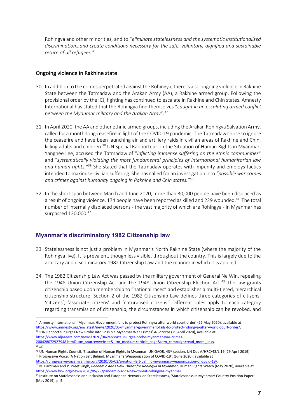Rohingya and other minorities, and to "*eliminate statelessness and the systematic institutionalised discrimination…and create conditions necessary for the safe, voluntary, dignified and sustainable return of all refugees."*

#### Ongoing violence in Rakhine state

- 30. In addition to the crimes perpetrated against the Rohingya, there is also ongoing violence in Rakhine State between the Tatmadaw and the Arakan Army (AA), a Rakhine armed group. Following the provisional order by the ICJ, fighting has continued to escalate in Rakhine and Chin states. Amnesty International has stated that the Rohingya find themselves "*caught in an escalating armed conflict between the Myanmar military and the Arakan Army"*. 37
- 31. In April 2020, the AA and other ethnic armed groups, including the Arakan Rohingya Salvation Army, called for a month-long ceasefire in light of the COVID-19 pandemic. The Tatmadaw chose to ignore the ceasefire and have been launching air and artillery raids in civilian areas of Rakhine and Chin, killing adults and children.<sup>38</sup> UN Special Rapporteur on the Situation of Human Rights in Myanmar, Yanghee Lee, accused the Tatmadaw of "*inflicting immense suffering on the ethnic communities"* and "*systematically violating the most fundamental principles of international humanitarian law and human rights."*<sup>39</sup> She stated that the Tatmadaw operates with impunity and employs tactics intended to maximise civilian suffering. She has called for an investigation into *"possible war crimes and crimes against humanity ongoing in Rakhine and Chin states."*<sup>40</sup>
- 32. In the short span between March and June 2020, more than 30,000 people have been displaced as a result of ongoing violence. 174 people have been reported as killed and 229 wounded.<sup>41</sup> The total number of internally displaced persons - the vast majority of which are Rohingya - in Myanmar has surpassed 130,000.<sup>42</sup>

#### **Myanmar's discriminatory 1982 Citizenship law**

- 33. Statelessness is not just a problem in Myanmar's North Rakhine State (where the majority of the Rohingya live). It is prevalent, though less visible, throughout the country. This is largely due to the arbitrary and discriminatory 1982 Citizenship Law and the manner in which it is applied.
- 34. The 1982 Citizenship Law Act was passed by the military government of General Ne Win, repealing the 1948 Union Citizenship Act and the 1948 Union Citizenship Election Act.<sup>43</sup> The law grants citizenship based upon membership to "national races" and establishes a multi-tiered, hierarchical citizenship structure. Section 2 of the 1982 Citizenship Law defines three categories of citizens: 'citizens', 'associate citizens' and 'naturalised citizens.' Different rules apply to each category regarding transmission of citizenship, the circumstances in which citizenship can be revoked, and

<sup>37</sup> Amnesty International, 'Myanmar: Government fails to protect Rohingya after world court order' (22 May 2020), available at [https://www.amnesty.org/en/latest/news/2020/05/myanmar-government-fails-to-protect-rohingya-after-world-court-order/.](https://www.amnesty.org/en/latest/news/2020/05/myanmar-government-fails-to-protect-rohingya-after-world-court-order/) <sup>38</sup> 'UN Rapporteur Urges New Probe Into Possible Myanmar War Crimes' *Al Jazeera* (29 April 2020), available at [https://www.aljazeera.com/news/2020/04/rapporteur-urges-probe-myanmar-war-crimes-](https://www.aljazeera.com/news/2020/04/rapporteur-urges-probe-myanmar-war-crimes-200428072927948.html?utm_source=website&utm_medium=article_page&utm_campaign=read_more_links)

[<sup>200428072927948.</sup>html?utm\\_source=website&utm\\_medium=article\\_page&utm\\_campaign=read\\_more\\_links.](https://www.aljazeera.com/news/2020/04/rapporteur-urges-probe-myanmar-war-crimes-200428072927948.html?utm_source=website&utm_medium=article_page&utm_campaign=read_more_links) 

<sup>39</sup> *Id.*

<sup>&</sup>lt;sup>40</sup> UN Human Rights Council, 'Situation of Human Rights in Myanmar' UN GAOR, 43<sup>rd</sup> session, UN Doc A/HRC/43/L.19 (29 April 2019). <sup>41</sup> Progressive Voice, 'A Nation Left Behind: Myanmar's Weaponization of COVID-19'*,* (June 2020), available at

[https://progressivevoicemyanmar.org/2020/06/02/a-nation-left-behind-myanmars-weaponization-of-covid-19/.](https://progressivevoicemyanmar.org/2020/06/02/a-nation-left-behind-myanmars-weaponization-of-covid-19/)  <sup>42</sup> N. Hardman and P. Preet Singh*, Pandemic Adds New Threat for Rohingya in Myanmar*, Human Rights Watch (May 2020), available at [https://www.hrw.org/news/2020/05/29/pandemic-adds-new-threat-rohingyas-myanmar.](https://www.hrw.org/news/2020/05/29/pandemic-adds-new-threat-rohingyas-myanmar)

<sup>43</sup> Institute on Statelessness and Inclusion and European Network on Statelessness, 'Statelessness in Myanmar: Country Position Paper' (May 2019), p. 5.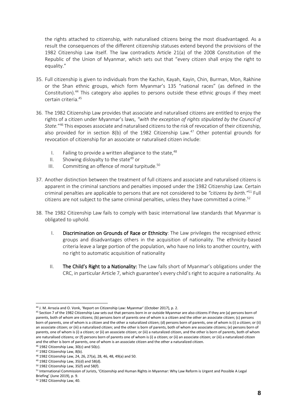the rights attached to citizenship, with naturalised citizens being the most disadvantaged. As a result the consequences of the different citizenship statuses extend beyond the provisions of the 1982 Citizenship Law itself. The law contradicts Article 21(a) of the 2008 Constitution of the Republic of the Union of Myanmar, which sets out that "every citizen shall enjoy the right to equality."

- 35. Full citizenship is given to individuals from the Kachin, Kayah, Kayin, Chin, Burman, Mon, Rakhine or the Shan ethnic groups, which form Myanmar's 135 "national races" (as defined in the Constitution).<sup>44</sup> This category also applies to persons outside these ethnic groups if they meet certain criteria.<sup>45</sup>
- 36. The 1982 Citizenship Law provides that associate and naturalised citizens are entitled to enjoy the rights of a citizen under Myanmar's laws, *"with the exception of rights stipulated by the Council of State.*" <sup>46</sup> This exposes associate and naturalised citizens to the risk of revocation of their citizenship, also provided for in section 8(b) of the 1982 Citizenship Law.<sup>47</sup> Other potential grounds for revocation of citizenship for an associate or naturalised citizen include:
	- I. Failing to provide a written allegiance to the state,  $48$
	- II. Showing disloyalty to the state<sup>49</sup> or
	- III. Committing an offence of moral turpitude. $50$
- 37. Another distinction between the treatment of full citizens and associate and naturalised citizens is apparent in the criminal sanctions and penalties imposed under the 1982 Citizenship Law. Certain criminal penalties are applicable to persons that are not considered to be *"citizens by birth."*<sup>51</sup> Full citizens are not subject to the same criminal penalties, unless they have committed a crime.<sup>52</sup>
- 38. The 1982 Citizenship Law fails to comply with basic international law standards that Myanmar is obligated to uphold.
	- I. Discrimination on Grounds of Race or Ethnicity: The Law privileges the recognised ethnic groups and disadvantages others in the acquisition of nationality. The ethnicity-based criteria leave a large portion of the population, who have no links to another country, with no right to automatic acquisition of nationality
	- II. The Child's Right to a Nationality: The Law falls short of Myanmar's obligations under the CRC, in particular Article 7, which guarantee's every child's right to acquire a nationality. As

<sup>44</sup> J. M. Arrazia and O. Vonk, 'Report on Citizenship Law: Myanmar' (October 2017), p. 2.

<sup>45</sup> Section 7 of the 1982 Citizenship Law sets out that persons born in or outside Myanmar are also citizens if they are (a) persons born of parents, both of whom are citizens; (b) persons born of parents one of whom is a citizen and the other an associate citizen; (c) persons born of parents, one of whom is a citizen and the other a naturalized citizen; (d) persons born of parents, one of whom is (i) a citizen; or (ii) an associate citizen; or (iii) a naturalized citizen; and the other is born of parents, both of whom are associate citizens; (e) persons born of parents, one of whom is (i) a citizen; or (ii) an associate citizen; or (iii) a naturalized citizen, and the other is born of parents, both of whom are naturalised citizens; or (f) persons born of parents one of whom is (i) a citizen; or (ii) an associate citizen; or (iii) a naturalized citizen and the other is born of parents, one of whom is an associate citizen and the other a naturalized citizen.

 $46$  1982 Citizenship Law, 30(c) and 50(c).

<sup>47</sup> 1982 Citizenship Law, 8(b).

<sup>48</sup> 1982 Citizenship Law, 24, 26, 27(a), 28, 46, 48, 49(a) and 50.

<sup>49</sup> 1982 Citizenship Law, 35(d) and 58(d).

 $50$  1982 Citizenship Law, 35(f) and 58(f).

<sup>51</sup> International Commission of Jurists, 'Citizenship and Human Rights in Myanmar: Why Law Reform is Urgent and Possible A Legal

Briefing' (June 2019), p. 9.

<sup>52</sup> 1982 Citizenship Law, 40.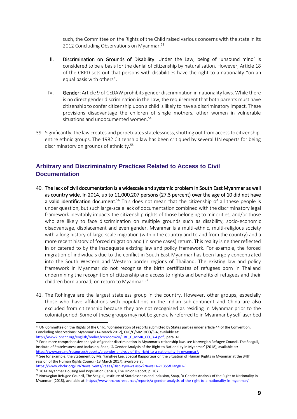such, the Committee on the Rights of the Child raised various concerns with the state in its 2012 Concluding Observations on Myanmar.<sup>53</sup>

- III. Discrimination on Grounds of Disability: Under the Law, being of 'unsound mind' is considered to be a basis for the denial of citizenship by naturalisation. However, Article 18 of the CRPD sets out that persons with disabilities have the right to a nationality "on an equal basis with others".
- IV. Gender: Article 9 of CEDAW prohibits gender discrimination in nationality laws. While there is no direct gender discrimination in the Law, the requirement that both parents must have citizenship to confer citizenship upon a child is likely to have a discriminatory impact. These provisions disadvantage the children of single mothers, other women in vulnerable situations and undocumented women.<sup>54</sup>
- 39. Significantly, the law creates and perpetuates statelessness, shutting out from access to citizenship, entire ethnic groups. The 1982 Citizenship law has been critiqued by several UN experts for being discriminatory on grounds of ethnicity.<sup>55</sup>

#### **Arbitrary and Discriminatory Practices Related to Access to Civil Documentation**

- 40. The lack of civil documentation is a widescale and systemic problem in South East Myanmar as well as country wide. In 2014, up to 11,000,207 persons (27.3 percent) over the age of 10 did not have a valid identification document.<sup>56</sup> This does not mean that the citizenship of all these people is under question, but such large-scale lack of documentation combined with the discriminatory legal framework inevitably impacts the citizenship rights of those belonging to minorities, and/or those who are likely to face discrimination on multiple grounds such as disability, socio-economic disadvantage, displacement and even gender. Myanmar is a multi-ethnic, multi-religious society with a long history of large-scale migration (within the country and to and from the country) and a more recent history of forced migration and (in some cases) return. This reality is neither reflected in or catered to by the inadequate existing law and policy framework. For example, the forced migration of individuals due to the conflict in South East Myanmar has been largely concentrated into the South Western and Western border regions of Thailand. The existing law and policy framework in Myanmar do not recognise the birth certificates of refugees born in Thailand undermining the recognition of citizenship and access to rights and benefits of refugees and their children born abroad, on return to Myanmar.<sup>57</sup>
- 41. The Rohingya are the largest stateless group in the country. However, other groups, especially those who have affiliations with populations in the Indian sub-continent and China are also excluded from citizenship because they are not recognised as residing in Myanmar prior to the colonial period. Some of these groups may not be generally referred to in Myanmar by self-ascribed

54 For a more comprehensive analysis of gender discrimination in Myanmar's citizenship law, see Norwegian Refugee Council, The Seagull, Institute of Statelessness and Inclusion, Snap, 'A Gender Analysis of the Right to Nationality in Myanmar' (2018), available at: [https://www.nrc.no/resources/reports/a-gender-analysis-of-the-right-to-a-nationality-in-myanmar/.](https://www.nrc.no/resources/reports/a-gender-analysis-of-the-right-to-a-nationality-in-myanmar/)

<sup>56</sup> 2014 Myanmar Housing and Population Census, The Union Report, p. 207.

<sup>53</sup> UN Committee on the Rights of the Child, 'Consideration of reports submitted by States parties under article 44 of the Convention, Concluding observations: Myanmar' (14 March 2012), CRC/C/MMR/CO/3-4, available at: [http://www2.ohchr.org/english/bodies/crc/docs/co/CRC\\_C\\_MMR\\_CO\\_3-4.pdf](http://www2.ohchr.org/english/bodies/crc/docs/co/CRC_C_MMR_CO_3-4.pdf) , para. 41.

<sup>55</sup> See for example, the Statement by Ms. Yanghee Lee, Special Rapporteur on the Situation of Human Rights in Myanmar at the 34th session of the Human Rights Council (13 March 2017), available at

<https://www.ohchr.org/EN/NewsEvents/Pages/DisplayNews.aspx?NewsID=21355&LangID=E>

<sup>57</sup> Norwegian Refugee Council, The Seagull, Institute of Statelessness and Inclusion, Snap, 'A Gender Analysis of the Right to Nationality in Myanmar' (2018), available at: <https://www.nrc.no/resources/reports/a-gender-analysis-of-the-right-to-a-nationality-in-myanmar/>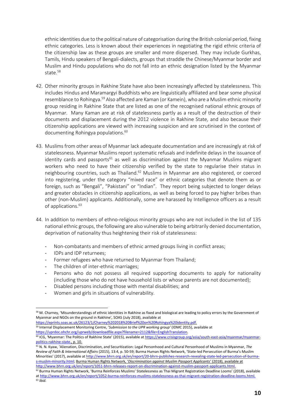ethnic identities due to the political nature of categorisation during the British colonial period, fixing ethnic categories. Less is known about their experiences in negotiating the rigid ethnic criteria of the citizenship law as these groups are smaller and more dispersed. They may include Gurkhas, Tamils, Hindu speakers of Bengali-dialects, groups that straddle the Chinese/Myanmar border and Muslim and Hindu populations who do not fall into an ethnic designation listed by the Myanmar state.<sup>58</sup>

- 42. Other minority groups in Rakhine State have also been increasingly affected by statelessness. This includes Hindus and Maramargyi Buddhists who are linguistically affiliated and bear some physical resemblance to Rohingya.<sup>59</sup> Also affected are Kaman (or Kamein), who are a Muslim ethnic minority group residing in Rakhine State that are listed as one of the recognised national ethnic groups of Myanmar. Many Kaman are at risk of statelessness partly as a result of the destruction of their documents and displacement during the 2012 violence in Rakhine State, and also because their citizenship applications are viewed with increasing suspicion and are scrutinised in the context of documenting Rohingya populations.<sup>60</sup>
- 43. Muslims from other areas of Myanmar lack adequate documentation and are increasingly at risk of statelessness. Myanmar Muslims report systematic refusals and indefinite delays in the issuance of identity cards and passports<sup>61</sup> as well as discrimination against the Myanmar Muslims migrant workers who need to have their citizenship verified by the state to regularise their status in neighbouring countries, such as Thailand.<sup>62</sup> Muslims in Myanmar are also registered, or coerced into registering, under the category "mixed race" or ethnic categories that denote them as or foreign, such as "Bengali", "Pakistani" or "Indian". They report being subjected to longer delays and greater obstacles in citizenship applications, as well as being forced to pay higher bribes than other (non-Muslim) applicants. Additionally, some are harassed by Intelligence officers as a result of applications.<sup>63</sup>
- 44. In addition to members of ethno-religious minority groups who are not included in the list of 135 national ethnic groups, the following are also vulnerable to being arbitrarily denied documentation, deprivation of nationality thus heightening their risk of statelessness:
	- Non-combatants and members of ethnic armed groups living in conflict areas;
	- IDPs and IDP returnees;
	- Former refugees who have returned to Myanmar from Thailand;
	- The children of inter-ethnic marriages;
	- Persons who do not possess all required supporting documents to apply for nationality (including those who do not have household lists or whose parents are not documented);
	- Disabled persons including those with mental disabilities; and
	- Women and girls in situations of vulnerability.

[https://eprints.soas.ac.uk/26123/1/Charney%202018%20Brief%20on%20Rohingya%20identity.pdf.](https://eprints.soas.ac.uk/26123/1/Charney%202018%20Brief%20on%20Rohingya%20identity.pdf) <sup>59</sup> Internal Displacement Monitoring Centre, '*Submission to the UPR working group'* (IDMC 2015), available at [https://uprdoc.ohchr.org/uprweb/downloadfile.aspx?filename=2112&file=EnglishTranslation.](https://uprdoc.ohchr.org/uprweb/downloadfile.aspx?filename=2112&file=EnglishTranslation) 

<sup>58</sup> M. Charney, 'Misunderstandings of ethnic identities in Rakhine as fixed and biological are leading to policy errors by the Government of Myanmar and NGOs on the ground in Rakhine'*,* SOAS (July 2018), available at

<sup>&</sup>lt;sup>60</sup> ICG, 'Myanmar: The Politics of Rakhine State' (2015), available at [https://www.crisisgroup.org/asia/south-east-asia/myanmar/myanmar](https://www.crisisgroup.org/asia/south-east-asia/myanmar/myanmar-politics-rakhine-state)[politics-rakhine-state.,](https://www.crisisgroup.org/asia/south-east-asia/myanmar/myanmar-politics-rakhine-state) p. 10.

<sup>61</sup> N. N. Kyaw, 'Alienation, Discrimination, and Securitization: Legal Personhood and Cultural Personhood of Muslims in Myanmar, *The Review of Faith & International Affairs* (2015), 13:4, p. 50-59; Burma Human Rights Network, 'State-led Persecution of Burma's Muslim Minorities' (2017), available at [http://www.bhrn.org.uk/en/report/20-bhrn-publishes-research-revealing-state-led-persecution-of-burma](http://www.bhrn.org.uk/en/report/20-bhrn-publishes-research-revealing-state-led-persecution-of-burma-s-muslim-minority.html)[s-muslim-minority.html;](http://www.bhrn.org.uk/en/report/20-bhrn-publishes-research-revealing-state-led-persecution-of-burma-s-muslim-minority.html) Burma Human Rights Network, '*Discrimination against Muslim Passport Applicants'* (2018), available at [http://www.bhrn.org.uk/en/report/1051-bhrn-releases-report-on-discrimination-against-muslim-passport-applicants.html.](http://www.bhrn.org.uk/en/report/1051-bhrn-releases-report-on-discrimination-against-muslim-passport-applicants.html)

<sup>62</sup> Burma Human Rights Network, 'Burma Reinforces Muslims' Statelessness as Thai Migrant Registration Deadline Looms' (2018), available a[t http://www.bhrn.org.uk/en/report/1052-burma-reinforces-muslims-statelessness-as-thai-migrant-registration-deadline-looms.html.](http://www.bhrn.org.uk/en/report/1052-burma-reinforces-muslims-statelessness-as-thai-migrant-registration-deadline-looms.html) <sup>63</sup> *Ibid.*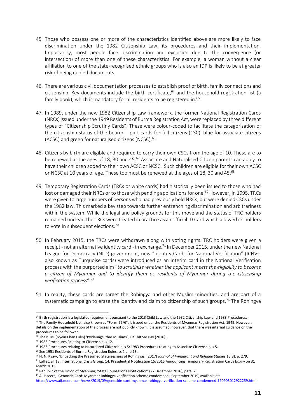- 45. Those who possess one or more of the characteristics identified above are more likely to face discrimination under the 1982 Citizenship Law, its procedures and their implementation. Importantly, most people face discrimination and exclusion due to the convergence (or intersection) of more than one of these characteristics. For example, a woman without a clear affiliation to one of the state-recognised ethnic groups who is also an IDP is likely to be at greater risk of being denied documents.
- 46. There are various civil documentation processes to establish proof of birth, family connections and citizenship. Key documents include the birth certificate, $64$  and the household registration list (a family book), which is mandatory for all residents to be registered in.<sup>65</sup>
- 47. In 1989, under the new 1982 Citizenship Law framework, the former National Registration Cards (NRCs) issued under the 1949 Residents of Burma Registration Act, were replaced by three different types of "Citizenship Scrutiny Cards". These were colour-coded to facilitate the categorisation of the citizenship status of the bearer – pink cards for full citizens (CSC), blue for associate citizens (ACSC) and green for naturalised citizens (NCSC).<sup>66</sup>
- 48. Citizens by birth are eligible and required to carry their own CSCs from the age of 10. These are to be renewed at the ages of 18, 30 and  $45.^{67}$  Associate and Naturalised Citizen parents can apply to have their children added to their own ACSC or NCSC. Such children are eligible for their own ACSC or NCSC at 10 years of age. These too must be renewed at the ages of 18, 30 and 45.<sup>68</sup>
- 49. Temporary Registration Cards (TRCs or white cards) had historically been issued to those who had lost or damaged their NRCs or to those with pending applications for one.<sup>69</sup> However, in 1995, TRCs were given to large numbers of persons who had previously held NRCs, but were denied CSCs under the 1982 law. This marked a key step towards further entrenching discrimination and arbitrariness within the system. While the legal and policy grounds for this move and the status of TRC holders remained unclear, the TRCs were treated in practice as an official ID Card which allowed its holders to vote in subsequent elections.<sup>70</sup>
- 50. In February 2015, the TRCs were withdrawn along with voting rights. TRC holders were given a receipt - not an alternative identity card - in exchange.<sup>71</sup> In December 2015, under the new National League for Democracy (NLD) government, new "Identity Cards for National Verification" (ICNVs, also known as Turquoise cards) were introduced as an interim card in the National Verification process with the purported aim "*to scrutinise whether the applicant meets the eligibility to become a citizen of Myanmar and to identify them as residents of Myanmar during the citizenship verification process*".<sup>72</sup>
- 51. In reality, these cards are target the Rohingya and other Muslim minorities, and are part of a systematic campaign to erase the identity and claim to citizenship of such groups.<sup>73</sup> The Rohingya

<sup>64</sup> Birth registration is a legislated requirement pursuant to the 2013 Child Law and the 1982 Citizenship Law and 1983 Procedures.  $65$  The Family Household List, also known as "Form-66/6", is issued under the Residents of Myanmar Registration Act, 1949. However, details on the implementation of the process are not publicly known. It is assumed, however, that there was internal guidance on the procedures to be followed.

<sup>&</sup>lt;sup>66</sup> Thein. M. (Nyein Chan Lulin) 'Pyidaungsuthar Muslims', Kit Thit Sar Pay (2016).

<sup>67</sup> 1983 Procedures Relating to Citizenship, s 12.

<sup>&</sup>lt;sup>68</sup> 1983 Procedures relating to Naturalized Citizenship, s 5; 1983 Procedures relating to Associate Citizenship, s 5.

<sup>69</sup> See 1951 Residents of Burma Registration Rules, ss 2 and 13.

<sup>70</sup> N. N. Kyaw, 'Unpacking the Presumed Statelessness of Rohingyas' (2017) *Journal of Immigrant and Refugee Studies* 15(3), p. 279.  $71$  Lall et. al, 18; International Crisis Group, 14. Presidential Notification 15/2015 Announcing Temporary Registration Cards Expiry on 31 March 2015.

<sup>72</sup> Republic of the Union of Myanmar, 'State Counsellor's Notification' (27 December 2016), para. 7.

<sup>73</sup> Al Jazeera, 'Genocide Card: Myanmar Rohingya verification scheme condemned', September 2019, available at: <https://www.aljazeera.com/news/2019/09/genocide-card-myanmar-rohingya-verification-scheme-condemned-190903012922259.html>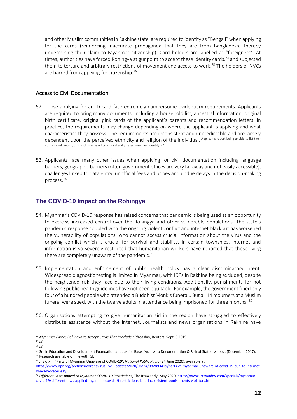and other Muslim communities in Rakhine state, are required to identify as "Bengali" when applying for the cards (reinforcing inaccurate propaganda that they are from Bangladesh, thereby undermining their claim to Myanmar citizenship). Card holders are labelled as "foreigners". At times, authorities have forced Rohingya at gunpoint to accept these identity cards,<sup>74</sup> and subjected them to torture and arbitrary restrictions of movement and access to work.<sup>75</sup> The holders of NVCs are barred from applying for citizenship.<sup>76</sup>

#### Access to Civil Documentation

- 52. Those applying for an ID card face extremely cumbersome evidentiary requirements. Applicants are required to bring many documents, including a household list, ancestral information, original birth certificate, original pink cards of the applicant's parents and recommendation letters. In practice, the requirements may change depending on where the applicant is applying and what characteristics they possess. The requirements are inconsistent and unpredictable and are largely dependent upon the perceived ethnicity and religion of the individual. Applicants report being unable to list their ethnic or religious group of choice, as officials unilaterally determine their identity.77
- 53. Applicants face many other issues when applying for civil documentation including language barriers, geographic barriers (often government offices are very far away and not easily accessible), challenges linked to data entry, unofficial fees and bribes and undue delays in the decision-making process.<sup>78</sup>

#### **The COVID-19 Impact on the Rohingya**

- 54. Myanmar's COVID-19 response has raised concerns that pandemic is being used as an opportunity to exercise increased control over the Rohingya and other vulnerable populations. The state's pandemic response coupled with the ongoing violent conflict and internet blackout has worsened the vulnerability of populations, who cannot access crucial information about the virus and the ongoing conflict which is crucial for survival and stability. In certain townships, internet and information is so severely restricted that humanitarian workers have reported that those living there are completely unaware of the pandemic.<sup>79</sup>
- 55. Implementation and enforcement of public health policy has a clear discriminatory intent. Widespread diagnostic testing is limited in Myanmar, with IDPs in Rakhine being excluded, despite the heightened risk they face due to their living conditions. Additionally, punishments for not following public health guidelines have not been equitable. For example, the government fined only four of a hundred people who attended a Buddhist Monk's funeral., But all 14 mourners at a Muslim funeral were sued, with the twelve adults in attendance being imprisoned for three months. <sup>80</sup>
- 56. Organisations attempting to give humanitarian aid in the region have struggled to effectively distribute assistance without the internet. Journalists and news organisations in Rakhine have

<sup>74</sup> *Myanmar Forces Rohingya to Accept Cards That Preclude Citizenship*, Reuters, Sept. 3 2019.

<sup>75</sup> *Id.* <sup>76</sup> *Id.*

<sup>77</sup> Smile Education and Development Foundation and Justice Base*,* 'Access to Documentation & Risk of Statelessness'*,* (December 2017). <sup>78</sup> Research available on file with ISI.

<sup>79</sup> J. Slotkin, 'Parts of Myanmar Unaware of COVID-19', *National Public Radio* (24 June 2020), available at

[https://www.npr.org/sections/coronavirus-live-updates/2020/06/24/882893419/parts-of-myanmar-unaware-of-covid-19-due-to-internet](https://www.npr.org/sections/coronavirus-live-updates/2020/06/24/882893419/parts-of-myanmar-unaware-of-covid-19-due-to-internet-ban-advocates-say)[ban-advocates-say.](https://www.npr.org/sections/coronavirus-live-updates/2020/06/24/882893419/parts-of-myanmar-unaware-of-covid-19-due-to-internet-ban-advocates-say)

<sup>80</sup> *Different Laws Appied to Myanmar COVID-19 Restrictions*, The Irrawaddy, May 2020[, https://www.irrawaddy.com/specials/myanmar](https://www.irrawaddy.com/specials/myanmar-covid-19/different-laws-applied-myanmar-covid-19-restrictions-lead-inconsistent-punishments-violators.html)[covid-19/different-laws-applied-myanmar-covid-19-restrictions-lead-inconsistent-punishments-violators.html](https://www.irrawaddy.com/specials/myanmar-covid-19/different-laws-applied-myanmar-covid-19-restrictions-lead-inconsistent-punishments-violators.html)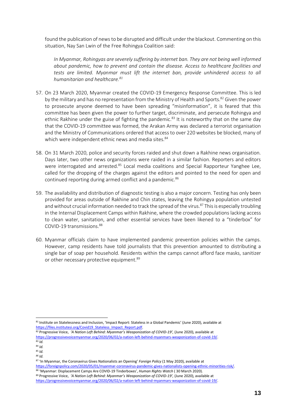found the publication of news to be disrupted and difficult under the blackout. Commenting on this situation, Nay San Lwin of the Free Rohingya Coalition said:

*In Myanmar, Rohingyas are severely suffering by internet ban. They are not being well informed about pandemic, how to prevent and contain the disease. Access to healthcare facilities and tests are limited. Myanmar must lift the internet ban, provide unhindered access to all humanitarian and healthcare.<sup>81</sup>*

- 57. On 23 March 2020, Myanmar created the COVID-19 Emergency Response Committee. This is led by the military and has no representation from the Ministry of Health and Sports.<sup>82</sup> Given the power to prosecute anyone deemed to have been spreading "misinformation", it is feared that this committee has been given the power to further target, discriminate, and persecute Rohingya and ethnic Rakhine under the guise of fighting the pandemic.<sup>83</sup> It is noteworthy that on the same day that the COVID-19 committee was formed, the Arakan Army was declared a terrorist organisation and the Ministry of Communications ordered that access to over 220 websites be blocked, many of which were independent ethnic news and media sites.<sup>84</sup>
- 58. On 31 March 2020, police and security forces raided and shut down a Rakhine news organisation. Days later, two other news organizations were raided in a similar fashion. Reporters and editors were interrogated and arrested.<sup>85</sup> Local media coalitions and Special Rapporteur Yanghee Lee, called for the dropping of the charges against the editors and pointed to the need for open and continued reporting during armed conflict and a pandemic.<sup>86</sup>
- 59. The availability and distribution of diagnostic testing is also a major concern. Testing has only been provided for areas outside of Rakhine and Chin states, leaving the Rohingya population untested and without crucial information needed to track the spread of the virus.<sup>87</sup> This is especially troubling in the Internal Displacement Camps within Rakhine, where the crowded populations lacking access to clean water, sanitation, and other essential services have been likened to a "tinderbox" for COVID-19 transmissions. 88
- 60. Myanmar officials claim to have implemented pandemic prevention policies within the camps. However, camp residents have told journalists that this prevention amounted to distributing a single bar of soap per household. Residents within the camps cannot afford face masks, sanitizer or other necessary protective equipment.<sup>89</sup>

<sup>82</sup> Progressive Voice, *'A Nation Left Behind: Myanmar's Weaponization of COVID-19',* (June 2020), available at [https://progressivevoicemyanmar.org/2020/06/02/a-nation-left-behind-myanmars-weaponization-of-covid-19/.](https://progressivevoicemyanmar.org/2020/06/02/a-nation-left-behind-myanmars-weaponization-of-covid-19/)  <sup>83</sup> *Id.* 

<sup>81</sup> Institute on Statelessness and Inclusion, 'Impact Report: Stateless in a Global Pandemic' (June 2020), available at [https://files.institutesi.org/Covid19\\_Stateless\\_Impact\\_Report.pdf.](https://files.institutesi.org/Covid19_Stateless_Impact_Report.pdf)

<sup>84</sup> *Id.*

<sup>85</sup> *Id.*

*<sup>86</sup> Id.*

<sup>87</sup> 'In Myanmar, the Coronavirus Gives Nationalists an Opening' *Foreign Policy* (1 May 2020), available at

[https://foreignpolicy.com/2020/05/01/myanmar-coronavirus-pandemic-gives-nationalists-opening-ethnic-minorities-risk/.](https://foreignpolicy.com/2020/05/01/myanmar-coronavirus-pandemic-gives-nationalists-opening-ethnic-minorities-risk/) <sup>88</sup> 'Myanmar: Displacement Camps Are COVID-19 Tinderboxes', *Human Rights Watch* ( 30 March 2020). <sup>89</sup> Progressive Voice, *'A Nation Left Behind: Myanmar's Weaponization of COVID-19',* (June 2020), available at [https://progressivevoicemyanmar.org/2020/06/02/a-nation-left-behind-myanmars-weaponization-of-covid-19/.](https://progressivevoicemyanmar.org/2020/06/02/a-nation-left-behind-myanmars-weaponization-of-covid-19/)